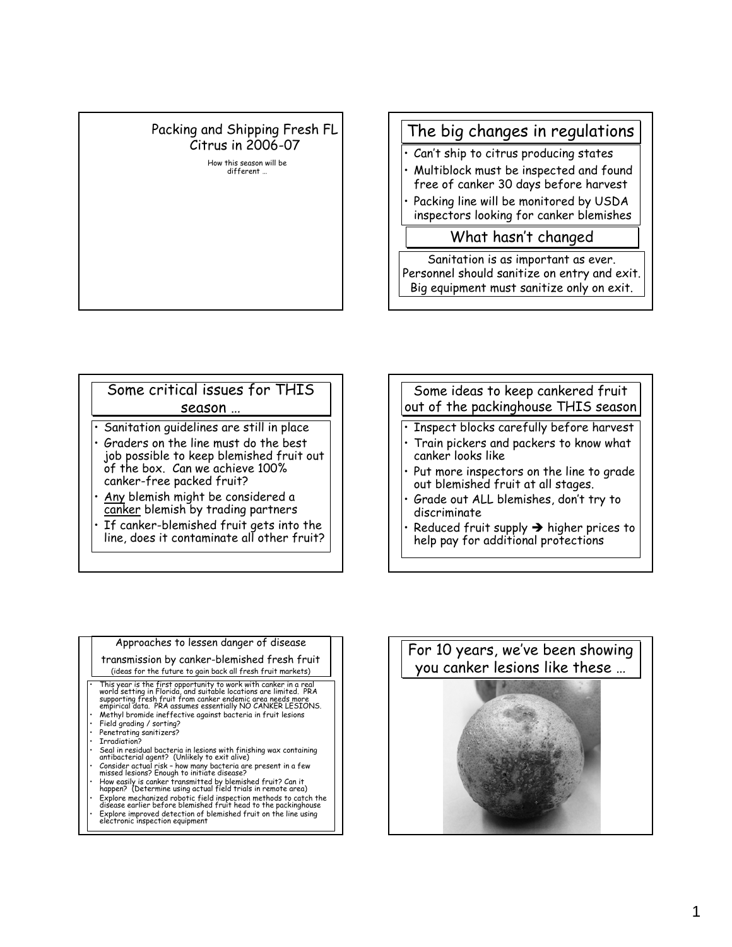## Packing and Shipping Fresh FL Citrus in 2006-07

How this season will be different …

## The big changes in regulations

- Can't ship to citrus producing states
- Multiblock must be inspected and found free of canker 30 days before harvest
- Packing line will be monitored by USDA inspectors looking for canker blemishes

### What hasn't changed

Sanitation is as important as ever. Personnel should sanitize on entry and exit. Big equipment must sanitize only on exit.

#### Some critical issues for THIS season …

- Sanitation guidelines are still in place
- Graders on the line must do the best job possible to keep blemished fruit out of the box. Can we achieve 100% canker-free packed fruit?
- Any blemish might be considered a canker blemish by trading partners
- If canker-blemished fruit gets into the line, does it contaminate all other fruit?

# Some ideas to keep cankered fruit out of the packinghouse THIS season

- Inspect blocks carefully before harvest
- Train pickers and packers to know what canker looks like
- Put more inspectors on the line to grade out blemished fruit at all stages.
- Grade out ALL blemishes, don't try to discriminate
- Reduced fruit supply  $\rightarrow$  higher prices to help pay for additional protections